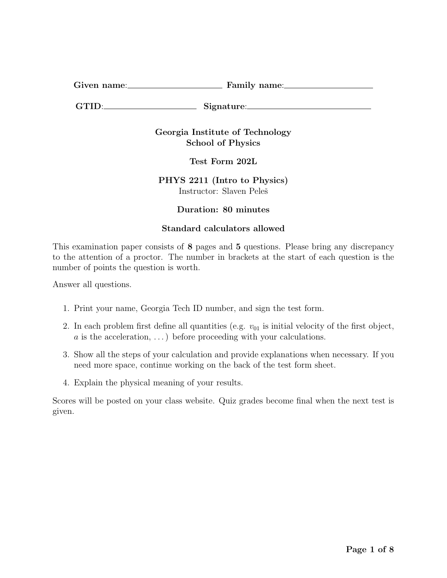Given name: Family name:

GTID: Signature:

Georgia Institute of Technology School of Physics

Test Form 202L

PHYS 2211 (Intro to Physics) Instructor: Slaven Peleš

# Duration: 80 minutes

## Standard calculators allowed

This examination paper consists of 8 pages and 5 questions. Please bring any discrepancy to the attention of a proctor. The number in brackets at the start of each question is the number of points the question is worth.

Answer all questions.

- 1. Print your name, Georgia Tech ID number, and sign the test form.
- 2. In each problem first define all quantities (e.g.  $v_{01}$  is initial velocity of the first object,  $a$  is the acceleration, ...) before proceeding with your calculations.
- 3. Show all the steps of your calculation and provide explanations when necessary. If you need more space, continue working on the back of the test form sheet.
- 4. Explain the physical meaning of your results.

Scores will be posted on your class website. Quiz grades become final when the next test is given.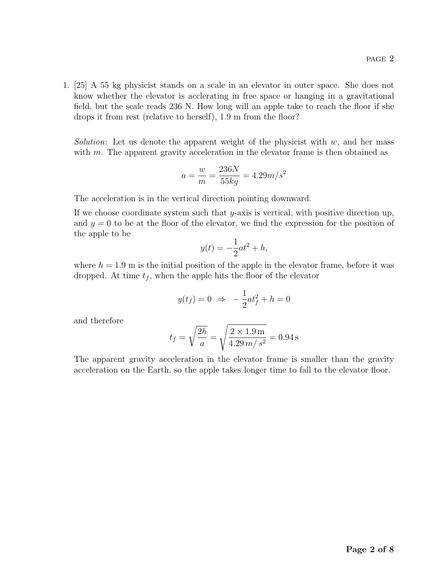1. [25] A 55 kg physicist stands on a scale in an elevator in outer space. She does not know whether the elevator is acclerating in free space or hanging in a gravitational field, but the scale reads 236 N. How long will an apple take to reach the floor if she drops it from rest (relative to herself), 1.9 m from the floor?

*Solution*: Let us denote the apparent weight of the physicist with  $w$ , and her mass with  $m$ . The apparent gravity acceleration in the elevator frame is then obtained as

$$
a = \frac{w}{m} = \frac{236N}{55kg} = 4.29m/s^2
$$

The acceleration is in the vertical direction pointing downward.

If we choose coordinate system such that  $y$ -axis is vertical, with positive direction up, and  $y = 0$  to be at the floor of the elevator, we find the expression for the position of the apple to be

$$
y(t) = -\frac{1}{2}at^2 + h,
$$

where  $h = 1.9$  m is the initial position of the apple in the elevator frame, before it was dropped. At time  $t_f$ , when the apple hits the floor of the elevator

$$
y(t_f) = 0 \Rightarrow -\frac{1}{2}at_f^2 + h = 0
$$

and therefore

$$
t_f = \sqrt{\frac{2h}{a}} = \sqrt{\frac{2 \times 1.9 \,\mathrm{m}}{4.29 \,m/\,s^2}} = 0.94 \,\mathrm{s}
$$

The apparent gravity acceleration in the elevator frame is smaller than the gravity acceleration on the Earth, so the apple takes longer time to fall to the elevator floor.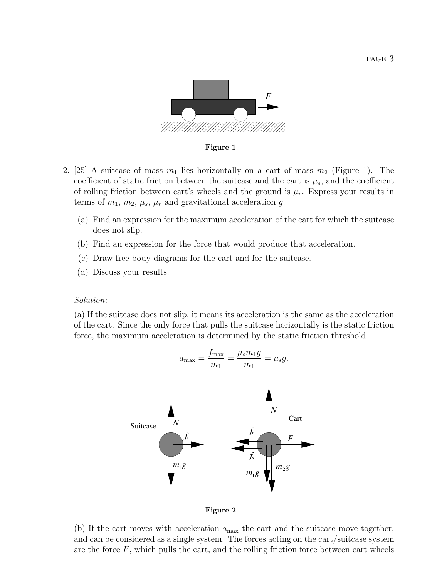

Figure 1.

- 2. [25] A suitcase of mass  $m_1$  lies horizontally on a cart of mass  $m_2$  (Figure 1). The coefficient of static friction between the suitcase and the cart is  $\mu_s$ , and the coefficient of rolling friction between cart's wheels and the ground is  $\mu_r$ . Express your results in terms of  $m_1$ ,  $m_2$ ,  $\mu_s$ ,  $\mu_r$  and gravitational acceleration g.
	- (a) Find an expression for the maximum acceleration of the cart for which the suitcase does not slip.
	- (b) Find an expression for the force that would produce that acceleration.
	- (c) Draw free body diagrams for the cart and for the suitcase.
	- (d) Discuss your results.

### Solution:

(a) If the suitcase does not slip, it means its acceleration is the same as the acceleration of the cart. Since the only force that pulls the suitcase horizontally is the static friction force, the maximum acceleration is determined by the static friction threshold

$$
a_{\max} = \frac{f_{\max}}{m_1} = \frac{\mu_s m_1 g}{m_1} = \mu_s g.
$$
\nSurface

\n
$$
f_s
$$
\n
$$
m_1 g
$$
\n
$$
m_1 g
$$
\n
$$
m_1 g
$$
\n
$$
m_1 g
$$
\n
$$
m_2 g
$$

Figure 2.

(b) If the cart moves with acceleration  $a_{\text{max}}$  the cart and the suitcase move together, and can be considered as a single system. The forces acting on the cart/suitcase system are the force  $F$ , which pulls the cart, and the rolling friction force between cart wheels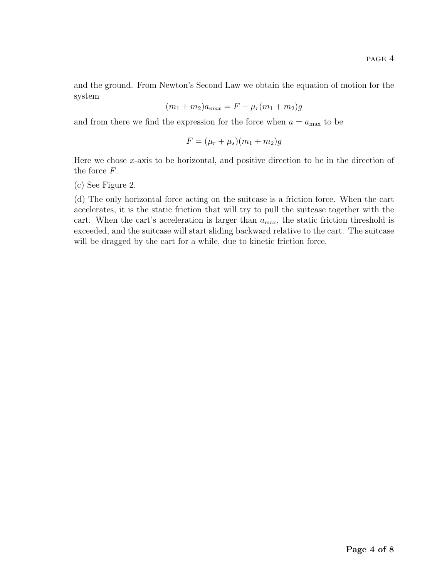and the ground. From Newton's Second Law we obtain the equation of motion for the system

$$
(m_1 + m_2)a_{max} = F - \mu_r(m_1 + m_2)g
$$

and from there we find the expression for the force when  $a = a_{\text{max}}$  to be

$$
F = (\mu_r + \mu_s)(m_1 + m_2)g
$$

Here we chose  $x$ -axis to be horizontal, and positive direction to be in the direction of the force F.

(c) See Figure 2.

(d) The only horizontal force acting on the suitcase is a friction force. When the cart accelerates, it is the static friction that will try to pull the suitcase together with the cart. When the cart's acceleration is larger than  $a_{\text{max}}$ , the static friction threshold is exceeded, and the suitcase will start sliding backward relative to the cart. The suitcase will be dragged by the cart for a while, due to kinetic friction force.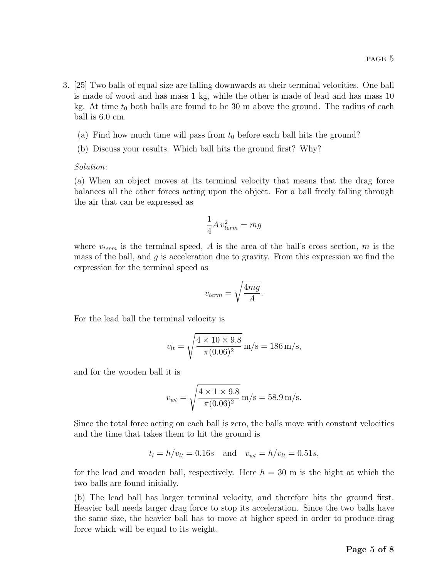- 3. [25] Two balls of equal size are falling downwards at their terminal velocities. One ball is made of wood and has mass 1 kg, while the other is made of lead and has mass 10 kg. At time  $t_0$  both balls are found to be 30 m above the ground. The radius of each ball is 6.0 cm.
	- (a) Find how much time will pass from  $t_0$  before each ball hits the ground?
	- (b) Discuss your results. Which ball hits the ground first? Why?

### Solution:

(a) When an object moves at its terminal velocity that means that the drag force balances all the other forces acting upon the object. For a ball freely falling through the air that can be expressed as

$$
\frac{1}{4}A\, v_{term}^2 = mg
$$

where  $v_{term}$  is the terminal speed, A is the area of the ball's cross section, m is the mass of the ball, and  $g$  is acceleration due to gravity. From this expression we find the expression for the terminal speed as

$$
v_{term} = \sqrt{\frac{4mg}{A}}.
$$

For the lead ball the terminal velocity is

$$
v_{lt} = \sqrt{\frac{4 \times 10 \times 9.8}{\pi (0.06)^2}} \,\mathrm{m/s} = 186 \,\mathrm{m/s},
$$

and for the wooden ball it is

$$
v_{wt} = \sqrt{\frac{4 \times 1 \times 9.8}{\pi (0.06)^2}} \,\mathrm{m/s} = 58.9 \,\mathrm{m/s}.
$$

Since the total force acting on each ball is zero, the balls move with constant velocities and the time that takes them to hit the ground is

$$
t_l = h/v_{lt} = 0.16s
$$
 and  $v_{wt} = h/v_{lt} = 0.51s$ ,

for the lead and wooden ball, respectively. Here  $h = 30$  m is the hight at which the two balls are found initially.

(b) The lead ball has larger terminal velocity, and therefore hits the ground first. Heavier ball needs larger drag force to stop its acceleration. Since the two balls have the same size, the heavier ball has to move at higher speed in order to produce drag force which will be equal to its weight.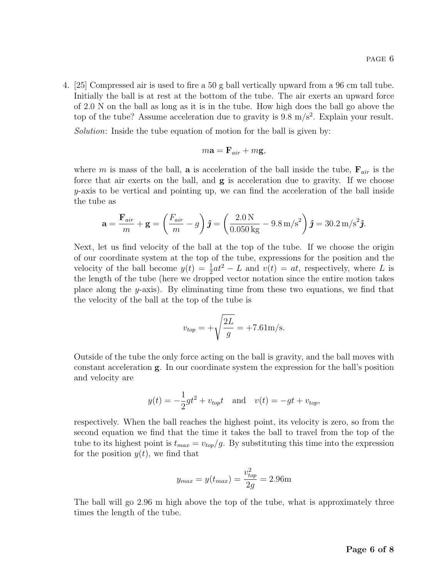4. [25] Compressed air is used to fire a 50 g ball vertically upward from a 96 cm tall tube. Initially the ball is at rest at the bottom of the tube. The air exerts an upward force of 2.0 N on the ball as long as it is in the tube. How high does the ball go above the top of the tube? Assume acceleration due to gravity is  $9.8 \text{ m/s}^2$ . Explain your result.

Solution: Inside the tube equation of motion for the ball is given by:

$$
m\mathbf{a} = \mathbf{F}_{air} + m\mathbf{g},
$$

where m is mass of the ball, **a** is acceleration of the ball inside the tube,  $\mathbf{F}_{air}$  is the force that air exerts on the ball, and g is acceleration due to gravity. If we choose  $y$ -axis to be vertical and pointing up, we can find the acceleration of the ball inside the tube as

$$
\mathbf{a} = \frac{\mathbf{F}_{air}}{m} + \mathbf{g} = \left(\frac{F_{air}}{m} - g\right)\hat{\jmath} = \left(\frac{2.0 \,\mathrm{N}}{0.050 \,\mathrm{kg}} - 9.8 \,\mathrm{m/s}^2\right)\hat{\jmath} = 30.2 \,\mathrm{m/s}^2\hat{\jmath}.
$$

Next, let us find velocity of the ball at the top of the tube. If we choose the origin of our coordinate system at the top of the tube, expressions for the position and the velocity of the ball become  $y(t) = \frac{1}{2}at^2 - L$  and  $v(t) = at$ , respectively, where L is the length of the tube (here we dropped vector notation since the entire motion takes place along the  $y$ -axis). By eliminating time from these two equations, we find that the velocity of the ball at the top of the tube is

$$
v_{top} = +\sqrt{\frac{2L}{g}} = +7.61 \text{m/s}.
$$

Outside of the tube the only force acting on the ball is gravity, and the ball moves with constant acceleration g. In our coordinate system the expression for the ball's position and velocity are

$$
y(t) = -\frac{1}{2}gt^2 + v_{top}t
$$
 and  $v(t) = -gt + v_{top}$ ,

respectively. When the ball reaches the highest point, its velocity is zero, so from the second equation we find that the time it takes the ball to travel from the top of the tube to its highest point is  $t_{max} = v_{top}/g$ . By substituting this time into the expression for the position  $y(t)$ , we find that

$$
y_{max} = y(t_{max}) = \frac{v_{top}^2}{2g} = 2.96
$$
m

The ball will go 2.96 m high above the top of the tube, what is approximately three times the length of the tube.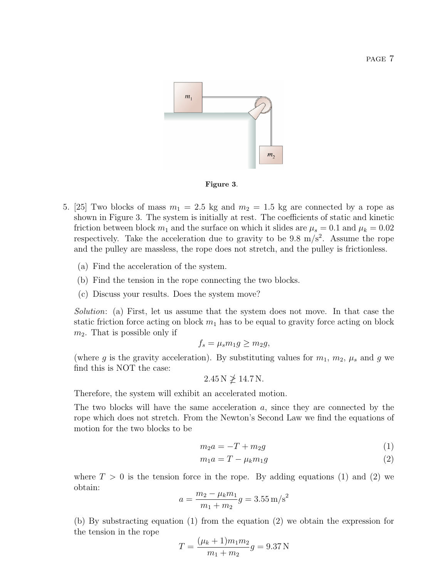

#### Figure 3.

- 5. [25] Two blocks of mass  $m_1 = 2.5$  kg and  $m_2 = 1.5$  kg are connected by a rope as shown in Figure 3. The system is initially at rest. The coefficients of static and kinetic friction between block  $m_1$  and the surface on which it slides are  $\mu_s = 0.1$  and  $\mu_k = 0.02$ respectively. Take the acceleration due to gravity to be  $9.8 \text{ m/s}^2$ . Assume the rope and the pulley are massless, the rope does not stretch, and the pulley is frictionless.
	- (a) Find the acceleration of the system.
	- (b) Find the tension in the rope connecting the two blocks.
	- (c) Discuss your results. Does the system move?

Solution: (a) First, let us assume that the system does not move. In that case the static friction force acting on block  $m_1$  has to be equal to gravity force acting on block  $m_2$ . That is possible only if

$$
f_s = \mu_s m_1 g \ge m_2 g,
$$

(where g is the gravity acceleration). By substituting values for  $m_1, m_2, \mu_s$  and g we find this is NOT the case:

 $2.45 N \not\geq 14.7 N$ .

Therefore, the system will exhibit an accelerated motion.

The two blocks will have the same acceleration  $a$ , since they are connected by the rope which does not stretch. From the Newton's Second Law we find the equations of motion for the two blocks to be

$$
m_2 a = -T + m_2 g \tag{1}
$$

$$
m_1 a = T - \mu_k m_1 g \tag{2}
$$

where  $T > 0$  is the tension force in the rope. By adding equations (1) and (2) we obtain:

$$
a = \frac{m_2 - \mu_k m_1}{m_1 + m_2}g = 3.55 \,\mathrm{m/s^2}
$$

(b) By substracting equation (1) from the equation (2) we obtain the expression for the tension in the rope

$$
T = \frac{(\mu_k + 1)m_1m_2}{m_1 + m_2}g = 9.37 \,\mathrm{N}
$$